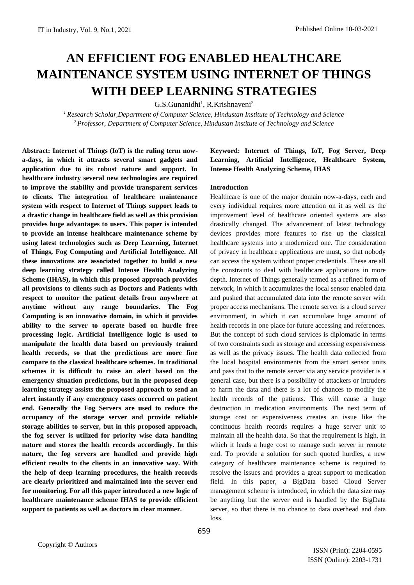# **AN EFFICIENT FOG ENABLED HEALTHCARE MAINTENANCE SYSTEM USING INTERNET OF THINGS WITH DEEP LEARNING STRATEGIES**

G.S.Gunanidhi<sup>1</sup>, R.Krishnaveni<sup>2</sup>

*<sup>1</sup> Research Scholar,Department of Computer Science, Hindustan Institute of Technology and Science <sup>2</sup>Professor, Department of Computer Science, Hindustan Institute of Technology and Science*

**Abstract: Internet of Things (IoT) is the ruling term nowa-days, in which it attracts several smart gadgets and application due to its robust nature and support. In healthcare industry several new technologies are required to improve the stability and provide transparent services to clients. The integration of healthcare maintenance system with respect to Internet of Things support leads to a drastic change in healthcare field as well as this provision provides huge advantages to users. This paper is intended to provide an intense healthcare maintenance scheme by using latest technologies such as Deep Learning, Internet of Things, Fog Computing and Artificial Intelligence. All these innovations are associated together to build a new deep learning strategy called Intense Health Analyzing Scheme (IHAS), in which this proposed approach provides all provisions to clients such as Doctors and Patients with respect to monitor the patient details from anywhere at anytime without any range boundaries. The Fog Computing is an innovative domain, in which it provides ability to the server to operate based on hurdle free processing logic. Artificial Intelligence logic is used to manipulate the health data based on previously trained health records, so that the predictions are more fine compare to the classical healthcare schemes. In traditional schemes it is difficult to raise an alert based on the emergency situation predictions, but in the proposed deep learning strategy assists the proposed approach to send an alert instantly if any emergency cases occurred on patient end. Generally the Fog Servers are used to reduce the occupancy of the storage server and provide reliable storage abilities to server, but in this proposed approach, the fog server is utilized for priority wise data handling nature and stores the health records accordingly. In this nature, the fog servers are handled and provide high efficient results to the clients in an innovative way. With the help of deep learning procedures, the health records are clearly prioritized and maintained into the server end for monitoring. For all this paper introduced a new logic of healthcare maintenance scheme IHAS to provide efficient support to patients as well as doctors in clear manner.**

# **Keyword: Internet of Things, IoT, Fog Server, Deep Learning, Artificial Intelligence, Healthcare System, Intense Health Analyzing Scheme, IHAS**

## **Introduction**

Healthcare is one of the major domain now-a-days, each and every individual requires more attention on it as well as the improvement level of healthcare oriented systems are also drastically changed. The advancement of latest technology devices provides more features to rise up the classical healthcare systems into a modernized one. The consideration of privacy in healthcare applications are must, so that nobody can access the system without proper credentials. These are all the constraints to deal with healthcare applications in more depth. Internet of Things generally termed as a refined form of network, in which it accumulates the local sensor enabled data and pushed that accumulated data into the remote server with proper access mechanisms. The remote server is a cloud server environment, in which it can accumulate huge amount of health records in one place for future accessing and references. But the concept of such cloud services is diplomatic in terms of two constraints such as storage and accessing expensiveness as well as the privacy issues. The health data collected from the local hospital environments from the smart sensor units and pass that to the remote server via any service provider is a general case, but there is a possibility of attackers or intruders to harm the data and there is a lot of chances to modify the health records of the patients. This will cause a huge destruction in medication environments. The next term of storage cost or expensiveness creates an issue like the continuous health records requires a huge server unit to maintain all the health data. So that the requirement is high, in which it leads a huge cost to manage such server in remote end. To provide a solution for such quoted hurdles, a new category of healthcare maintenance scheme is required to resolve the issues and provides a great support to medication field. In this paper, a BigData based Cloud Server management scheme is introduced, in which the data size may be anything but the server end is handled by the BigData server, so that there is no chance to data overhead and data loss.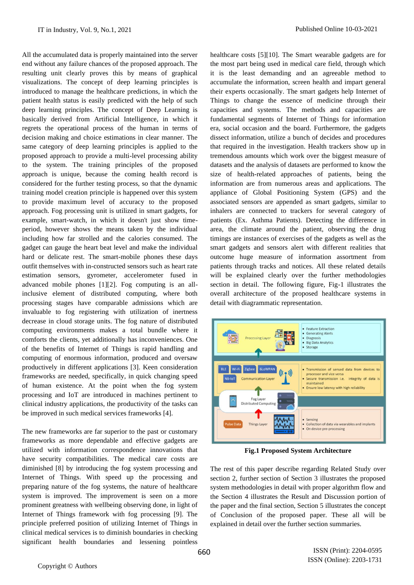All the accumulated data is properly maintained into the server end without any failure chances of the proposed approach. The resulting unit clearly proves this by means of graphical visualizations. The concept of deep learning principles is introduced to manage the healthcare predictions, in which the patient health status is easily predicted with the help of such deep learning principles. The concept of Deep Learning is basically derived from Artificial Intelligence, in which it regrets the operational process of the human in terms of decision making and choice estimations in clear manner. The same category of deep learning principles is applied to the proposed approach to provide a multi-level processing ability to the system. The training principles of the proposed approach is unique, because the coming health record is considered for the further testing process, so that the dynamic training model creation principle is happened over this system to provide maximum level of accuracy to the proposed approach. Fog processing unit is utilized in smart gadgets, for example, smart-watch, in which it doesn't just show timeperiod, however shows the means taken by the individual including how far strolled and the calories consumed. The gadget can gauge the heart beat level and make the individual hard or delicate rest. The smart-mobile phones these days outfit themselves with in-constructed sensors such as heart rate estimation sensors, gyrometer, accelerometer fused in advanced mobile phones [1][2]. Fog computing is an allinclusive element of distributed computing, where both processing stages have comparable admissions which are invaluable to fog registering with utilization of inertness decrease in cloud storage units. The fog nature of distributed computing environments makes a total bundle where it comforts the clients, yet additionally has inconveniences. One of the benefits of Internet of Things is rapid handling and computing of enormous information, produced and oversaw productively in different applications [3]. Keen consideration frameworks are needed, specifically, in quick changing speed of human existence. At the point when the fog system processing and IoT are introduced in machines pertinent to clinical industry applications, the productivity of the tasks can be improved in such medical services frameworks [4].

The new frameworks are far superior to the past or customary frameworks as more dependable and effective gadgets are utilized with information correspondence innovations that have security compatibilities. The medical care costs are diminished [8] by introducing the fog system processing and Internet of Things. With speed up the processing and preparing nature of the fog systems, the nature of healthcare system is improved. The improvement is seen on a more prominent greatness with wellbeing observing done, in light of Internet of Things framework with fog processing [9]. The principle preferred position of utilizing Internet of Things in clinical medical services is to diminish boundaries in checking significant health boundaries and lessening pointless

healthcare costs [5][10]. The Smart wearable gadgets are for the most part being used in medical care field, through which it is the least demanding and an agreeable method to accumulate the information, screen health and impart general their experts occasionally. The smart gadgets help Internet of Things to change the essence of medicine through their capacities and systems. The methods and capacities are fundamental segments of Internet of Things for information era, social occasion and the board. Furthermore, the gadgets dissect information, utilize a bunch of decides and procedures that required in the investigation. Health trackers show up in tremendous amounts which work over the biggest measure of datasets and the analysis of datasets are performed to know the size of health-related approaches of patients, being the information are from numerous areas and applications. The appliance of Global Positioning System (GPS) and the associated sensors are appended as smart gadgets, similar to inhalers are connected to trackers for several category of patients (Ex. Asthma Patients). Detecting the difference in area, the climate around the patient, observing the drug timings are instances of exercises of the gadgets as well as the smart gadgets and sensors alert with different realities that outcome huge measure of information assortment from patients through tracks and notices. All these related details will be explained clearly over the further methodologies section in detail. The following figure, Fig-1 illustrates the overall architecture of the proposed healthcare systems in detail with diagrammatic representation.



**Fig.1 Proposed System Architecture**

The rest of this paper describe regarding Related Study over section 2, further section of Section 3 illustrates the proposed system methodologies in detail with proper algorithm flow and the Section 4 illustrates the Result and Discussion portion of the paper and the final section, Section 5 illustrates the concept of Conclusion of the proposed paper. These all will be explained in detail over the further section summaries.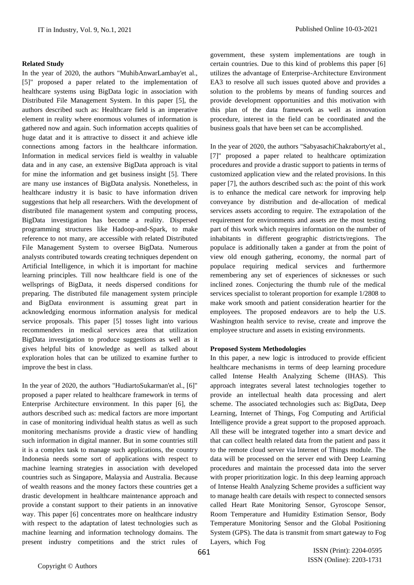#### **Related Study**

In the year of 2020, the authors "MuhibAnwarLambay'et al., [5]" proposed a paper related to the implementation of healthcare systems using BigData logic in association with Distributed File Management System. In this paper [5], the authors described such as: Healthcare field is an imperative element in reality where enormous volumes of information is gathered now and again. Such information accepts qualities of huge datat and it is attractive to dissect it and achieve idle connections among factors in the healthcare information. Information in medical services field is wealthy in valuable data and in any case, an extensive BigData approach is vital for mine the information and get business insight [5]. There are many use instances of BigData analysis. Nonetheless, in healthcare industry it is basic to have information driven suggestions that help all researchers. With the development of distributed file management system and computing process, BigData investigation has become a reality. Dispersed programming structures like Hadoop-and-Spark, to make reference to not many, are accessible with related Distributed File Management System to oversee BigData. Numerous analysts contributed towards creating techniques dependent on Artificial Intelligence, in which it is important for machine learning principles. Till now healthcare field is one of the wellsprings of BigData, it needs dispersed conditions for preparing. The distributed file management system principle and BigData environment is assuming great part in acknowledging enormous information analysis for medical service proposals. This paper [5] tosses light into various recommenders in medical services area that utilization BigData investigation to produce suggestions as well as it gives helpful bits of knowledge as well as talked about exploration holes that can be utilized to examine further to improve the best in class.

In the year of 2020, the authors "HudiartoSukarman'et al., [6]" proposed a paper related to healthcare framework in terms of Enterprise Architecture environment. In this paper [6], the authors described such as: medical factors are more important in case of monitoring individual health status as well as such monitoring mechanisms provide a drastic view of handling such information in digital manner. But in some countries still it is a complex task to manage such applications, the country Indonesia needs some sort of applications with respect to machine learning strategies in association with developed countries such as Singapore, Malaysia and Australia. Because of wealth reasons and the money factors these countries get a drastic development in healthcare maintenance approach and provide a constant support to their patients in an innovative way. This paper [6] concentrates more on healthcare industry with respect to the adaptation of latest technologies such as machine learning and information technology domains. The present industry competitions and the strict rules of

government, these system implementations are tough in certain countries. Due to this kind of problems this paper [6] utilizes the advantage of Enterprise-Architecture Environment EA3 to resolve all such issues quoted above and provides a solution to the problems by means of funding sources and provide development opportunities and this motivation with this plan of the data framework as well as innovation procedure, interest in the field can be coordinated and the business goals that have been set can be accomplished.

In the year of 2020, the authors "SabyasachiChakraborty'et al., [7]" proposed a paper related to healthcare optimization procedures and provide a drastic support to patients in terms of customized application view and the related provisions. In this paper [7], the authors described such as: the point of this work is to enhance the medical care network for improving help conveyance by distribution and de-allocation of medical services assets according to require. The extrapolation of the requirement for environments and assets are the most testing part of this work which requires information on the number of inhabitants in different geographic districts/regions. The populace is additionally taken a gander at from the point of view old enough gathering, economy, the normal part of populace requiring medical services and furthermore remembering any set of experiences of sicknesses or such inclined zones. Conjecturing the thumb rule of the medical services specialist to tolerant proportion for example 1/2808 to make work smooth and patient consideration heartier for the employees. The proposed endeavors are to help the U.S. Washington health service to revise, create and improve the employee structure and assets in existing environments.

#### **Proposed System Methodologies**

In this paper, a new logic is introduced to provide efficient healthcare mechanisms in terms of deep learning procedure called Intense Health Analyzing Scheme (IHAS). This approach integrates several latest technologies together to provide an intellectual health data processing and alert scheme. The associated technologies such as: BigData, Deep Learning, Internet of Things, Fog Computing and Artificial Intelligence provide a great support to the proposed approach. All these will be integrated together into a smart device and that can collect health related data from the patient and pass it to the remote cloud server via Internet of Things module. The data will be processed on the server end with Deep Learning procedures and maintain the processed data into the server with proper prioritization logic. In this deep learning approach of Intense Health Analyzing Scheme provides a sufficient way to manage health care details with respect to connected sensors called Heart Rate Monitoring Sensor, Gyroscope Sensor, Room Temperature and Humidity Estimation Sensor, Body Temperature Monitoring Sensor and the Global Positioning System (GPS). The data is transmit from smart gateway to Fog Layers, which Fog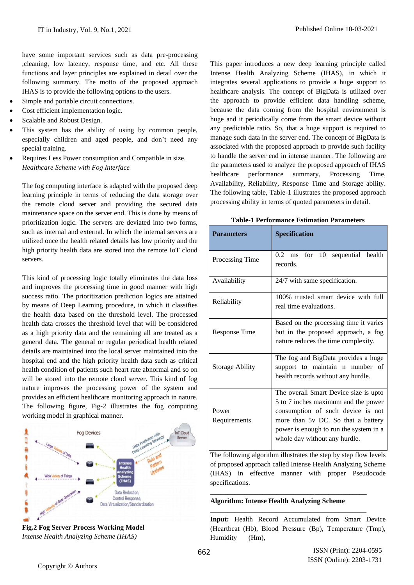have some important services such as data pre-processing ,cleaning, low latency, response time, and etc. All these functions and layer principles are explained in detail over the following summary. The motto of the proposed approach IHAS is to provide the following options to the users.

- Simple and portable circuit connections.
- Cost efficient implementation logic.
- Scalable and Robust Design.
- This system has the ability of using by common people, especially children and aged people, and don't need any special training.
- Requires Less Power consumption and Compatible in size. *Healthcare Scheme with Fog Interface*

The fog computing interface is adapted with the proposed deep learning principle in terms of reducing the data storage over the remote cloud server and providing the secured data maintenance space on the server end. This is done by means of prioritization logic. The servers are deviated into two forms, such as internal and external. In which the internal servers are utilized once the health related details has low priority and the high priority health data are stored into the remote IoT cloud servers.

This kind of processing logic totally eliminates the data loss and improves the processing time in good manner with high success ratio. The prioritization prediction logics are attained by means of Deep Learning procedure, in which it classifies the health data based on the threshold level. The processed health data crosses the threshold level that will be considered as a high priority data and the remaining all are treated as a general data. The general or regular periodical health related details are maintained into the local server maintained into the hospital end and the high priority health data such as critical health condition of patients such heart rate abnormal and so on will be stored into the remote cloud server. This kind of fog nature improves the processing power of the system and provides an efficient healthcare monitoring approach in nature. The following figure, Fig-2 illustrates the fog computing working model in graphical manner.



**Fig.2 Fog Server Process Working Model** *Intense Health Analyzing Scheme (IHAS)*

This paper introduces a new deep learning principle called Intense Health Analyzing Scheme (IHAS), in which it integrates several applications to provide a huge support to healthcare analysis. The concept of BigData is utilized over the approach to provide efficient data handling scheme, because the data coming from the hospital environment is huge and it periodically come from the smart device without any predictable ratio. So, that a huge support is required to manage such data in the server end. The concept of BigData is associated with the proposed approach to provide such facility to handle the server end in intense manner. The following are the parameters used to analyze the proposed approach of IHAS healthcare performance summary, Processing Time, Availability, Reliability, Response Time and Storage ability. The following table, Table-1 illustrates the proposed approach processing ability in terms of quoted parameters in detail.

| <b>Parameters</b>      | <b>Specification</b>                                                                                                                                                                                                               |
|------------------------|------------------------------------------------------------------------------------------------------------------------------------------------------------------------------------------------------------------------------------|
| Processing Time        | 0.2 ms for 10 sequential health<br>records.                                                                                                                                                                                        |
| Availability           | 24/7 with same specification.                                                                                                                                                                                                      |
| Reliability            | 100% trusted smart device with full<br>real time evaluations.                                                                                                                                                                      |
| Response Time          | Based on the processing time it varies<br>but in the proposed approach, a fog<br>nature reduces the time complexity.                                                                                                               |
| <b>Storage Ability</b> | The fog and BigData provides a huge<br>support to maintain n number of<br>health records without any hurdle.                                                                                                                       |
| Power<br>Requirements  | The overall Smart Device size is upto<br>5 to 7 inches maximum and the power<br>consumption of such device is not<br>more than 5v DC. So that a battery<br>power is enough to run the system in a<br>whole day without any hurdle. |

**Table-1 Performance Estimation Parameters**

The following algorithm illustrates the step by step flow levels of proposed approach called Intense Health Analyzing Scheme (IHAS) in effective manner with proper Pseudocode specifications.

## **Algorithm: Intense Health Analyzing Scheme**

**\_\_\_\_\_\_\_\_\_\_\_\_\_\_\_\_\_\_\_\_\_\_\_\_\_\_\_\_\_\_\_\_\_\_\_\_\_\_\_\_\_\_\_\_\_**

**\_\_\_\_\_\_\_\_\_\_\_\_\_\_\_\_\_\_\_\_\_\_\_\_\_\_\_\_\_\_\_\_\_\_\_\_\_\_\_\_\_\_\_\_\_**

**Input:** Health Record Accumulated from Smart Device (Heartbeat (Hb), Blood Pressure (Bp), Temperature (Tmp), Humidity (Hm),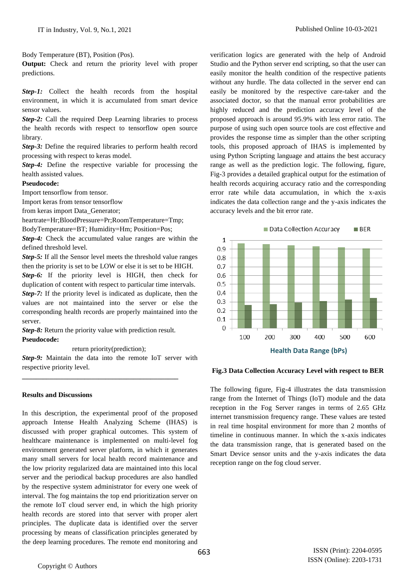Body Temperature (BT), Position (Pos).

**Output:** Check and return the priority level with proper predictions.

*Step-1:* Collect the health records from the hospital environment, in which it is accumulated from smart device sensor values.

*Step-2:* Call the required Deep Learning libraries to process the health records with respect to tensorflow open source library.

*Step-3:* Define the required libraries to perform health record processing with respect to keras model.

*Step-4:* Define the respective variable for processing the health assisted values.

### **Pseudocode:**

Import tensorflow from tensor.

Import keras from tensor tensorflow

from keras import Data\_Generator;

heartrate=Hr;BloodPressure=Pr;RoomTemperature=Tmp;

BodyTemperature=BT; Humidity=Hm; Position=Pos;

*Step-4:* Check the accumulated value ranges are within the defined threshold level.

*Step-5:* If all the Sensor level meets the threshold value ranges then the priority is set to be LOW or else it is set to be HIGH. *Step-6:* If the priority level is HIGH, then check for duplication of content with respect to particular time intervals. *Step-7:* If the priority level is indicated as duplicate, then the values are not maintained into the server or else the corresponding health records are properly maintained into the server.

*Step-8:* Return the priority value with prediction result. **Pseudocode:**

**\_\_\_\_\_\_\_\_\_\_\_\_\_\_\_\_\_\_\_\_\_\_\_\_\_\_\_\_\_\_\_\_\_\_\_\_\_\_\_\_\_\_\_\_\_**

return priority(prediction);

*Step-9:* Maintain the data into the remote IoT server with respective priority level.

### **Results and Discussions**

In this description, the experimental proof of the proposed approach Intense Health Analyzing Scheme (IHAS) is discussed with proper graphical outcomes. This system of healthcare maintenance is implemented on multi-level fog environment generated server platform, in which it generates many small servers for local health record maintenance and the low priority regularized data are maintained into this local server and the periodical backup procedures are also handled by the respective system administrator for every one week of interval. The fog maintains the top end prioritization server on the remote IoT cloud server end, in which the high priority health records are stored into that server with proper alert principles. The duplicate data is identified over the server processing by means of classification principles generated by the deep learning procedures. The remote end monitoring and

verification logics are generated with the help of Android Studio and the Python server end scripting, so that the user can easily monitor the health condition of the respective patients without any hurdle. The data collected in the server end can easily be monitored by the respective care-taker and the associated doctor, so that the manual error probabilities are highly reduced and the prediction accuracy level of the proposed approach is around 95.9% with less error ratio. The purpose of using such open source tools are cost effective and provides the response time as simpler than the other scripting tools, this proposed approach of IHAS is implemented by using Python Scripting language and attains the best accuracy range as well as the prediction logic. The following, figure, Fig-3 provides a detailed graphical output for the estimation of health records acquiring accuracy ratio and the corresponding error rate while data accumulation, in which the x-axis indicates the data collection range and the y-axis indicates the accuracy levels and the bit error rate.



**Fig.3 Data Collection Accuracy Level with respect to BER**

The following figure, Fig-4 illustrates the data transmission range from the Internet of Things (IoT) module and the data reception in the Fog Server ranges in terms of 2.65 GHz internet transmission frequency range. These values are tested in real time hospital environment for more than 2 months of timeline in continuous manner. In which the x-axis indicates the data transmission range, that is generated based on the Smart Device sensor units and the y-axis indicates the data reception range on the fog cloud server.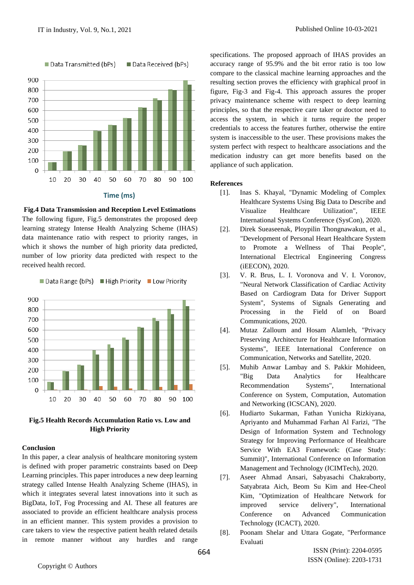

**Fig.4 Data Transmission and Reception Level Estimations** The following figure, Fig.5 demonstrates the proposed deep learning strategy Intense Health Analyzing Scheme (IHAS) data maintenance ratio with respect to priority ranges, in which it shows the number of high priority data predicted, number of low priority data predicted with respect to the received health record.





## **Conclusion**

In this paper, a clear analysis of healthcare monitoring system is defined with proper parametric constraints based on Deep Learning principles. This paper introduces a new deep learning strategy called Intense Health Analyzing Scheme (IHAS), in which it integrates several latest innovations into it such as BigData, IoT, Fog Processing and AI. These all features are associated to provide an efficient healthcare analysis process in an efficient manner. This system provides a provision to care takers to view the respective patient health related details in remote manner without any hurdles and range specifications. The proposed approach of IHAS provides an accuracy range of 95.9% and the bit error ratio is too low compare to the classical machine learning approaches and the resulting section proves the efficiency with graphical proof in figure, Fig-3 and Fig-4. This approach assures the proper privacy maintenance scheme with respect to deep learning principles, so that the respective care taker or doctor need to access the system, in which it turns require the proper credentials to access the features further, otherwise the entire system is inaccessible to the user. These provisions makes the system perfect with respect to healthcare associations and the medication industry can get more benefits based on the appliance of such application.

## **References**

- [1]. Inas S. Khayal, "Dynamic Modeling of Complex Healthcare Systems Using Big Data to Describe and Visualize Healthcare Utilization", IEEE International Systems Conference (SysCon), 2020.
- [2]. Direk Sueaseenak, Ploypilin Thongnawakun, et al., "Development of Personal Heart Healthcare System to Promote a Wellness of Thai People", International Electrical Engineering Congress (iEECON), 2020.
- [3]. V. R. Brus, L. I. Voronova and V. I. Voronov, "Neural Network Classification of Cardiac Activity Based on Cardiogram Data for Driver Support System", Systems of Signals Generating and Processing in the Field of on Board Communications, 2020.
- [4]. Mutaz Zalloum and Hosam Alamleh, "Privacy Preserving Architecture for Healthcare Information Systems", IEEE International Conference on Communication, Networks and Satellite, 2020.
- [5]. Muhib Anwar Lambay and S. Pakkir Mohideen, "Big Data Analytics for Healthcare Recommendation Systems", International Conference on System, Computation, Automation and Networking (ICSCAN), 2020.
- [6]. Hudiarto Sukarman, Fathan Yunicha Rizkiyana, Apriyanto and Muhammad Farhan Al Farizi, "The Design of Information System and Technology Strategy for Improving Performance of Healthcare Service With EA3 Framework: (Case Study: Summit)", International Conference on Information Management and Technology (ICIMTech), 2020.
- [7]. Aseer Ahmad Ansari, Sabyasachi Chakraborty, Satyabrata Aich, Beom Su Kim and Hee-Cheol Kim, "Optimization of Healthcare Network for improved service delivery", International Conference on Advanced Communication Technology (ICACT), 2020.
- [8]. Poonam Shelar and Uttara Gogate, "Performance Evaluati